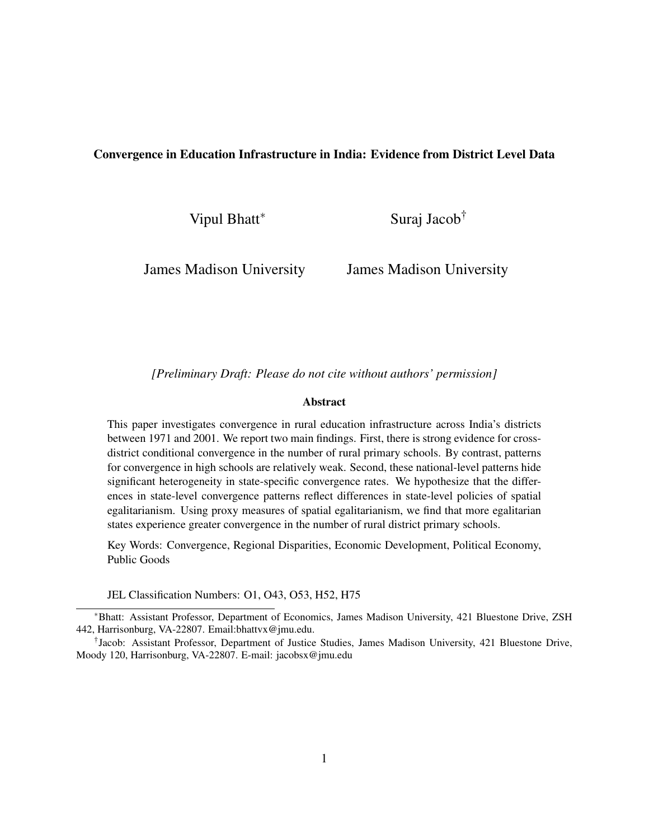#### Convergence in Education Infrastructure in India: Evidence from District Level Data

Vipul Bhatt<sup>∗</sup>

Suraj Jacob†

James Madison University

James Madison University

*[Preliminary Draft: Please do not cite without authors' permission]*

#### Abstract

This paper investigates convergence in rural education infrastructure across India's districts between 1971 and 2001. We report two main findings. First, there is strong evidence for crossdistrict conditional convergence in the number of rural primary schools. By contrast, patterns for convergence in high schools are relatively weak. Second, these national-level patterns hide significant heterogeneity in state-specific convergence rates. We hypothesize that the differences in state-level convergence patterns reflect differences in state-level policies of spatial egalitarianism. Using proxy measures of spatial egalitarianism, we find that more egalitarian states experience greater convergence in the number of rural district primary schools.

Key Words: Convergence, Regional Disparities, Economic Development, Political Economy, Public Goods

JEL Classification Numbers: O1, O43, O53, H52, H75

<sup>∗</sup>Bhatt: Assistant Professor, Department of Economics, James Madison University, 421 Bluestone Drive, ZSH 442, Harrisonburg, VA-22807. Email:bhattvx@jmu.edu.

<sup>†</sup> Jacob: Assistant Professor, Department of Justice Studies, James Madison University, 421 Bluestone Drive, Moody 120, Harrisonburg, VA-22807. E-mail: jacobsx@jmu.edu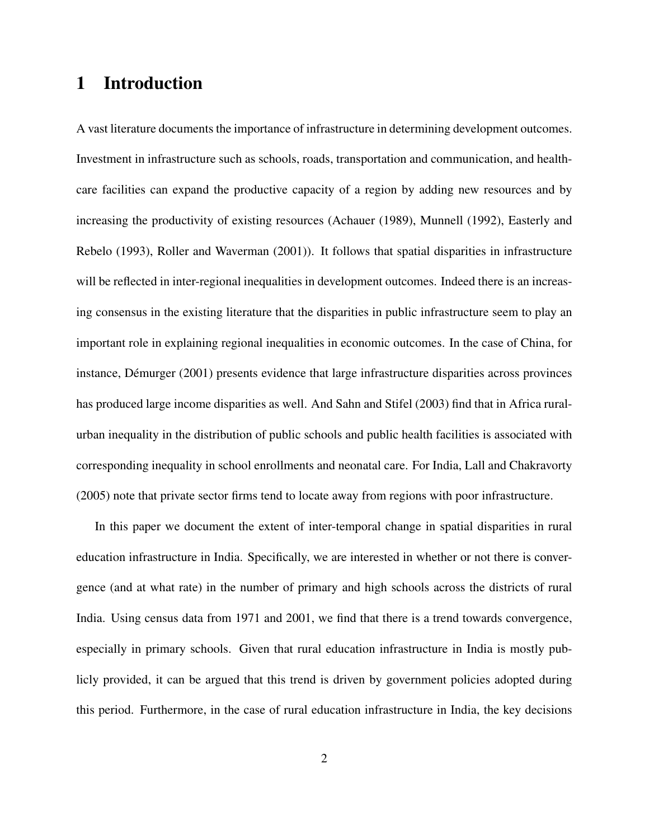### 1 Introduction

A vast literature documents the importance of infrastructure in determining development outcomes. Investment in infrastructure such as schools, roads, transportation and communication, and healthcare facilities can expand the productive capacity of a region by adding new resources and by increasing the productivity of existing resources (Achauer (1989), Munnell (1992), Easterly and Rebelo (1993), Roller and Waverman (2001)). It follows that spatial disparities in infrastructure will be reflected in inter-regional inequalities in development outcomes. Indeed there is an increasing consensus in the existing literature that the disparities in public infrastructure seem to play an important role in explaining regional inequalities in economic outcomes. In the case of China, for instance, Démurger (2001) presents evidence that large infrastructure disparities across provinces has produced large income disparities as well. And Sahn and Stifel (2003) find that in Africa ruralurban inequality in the distribution of public schools and public health facilities is associated with corresponding inequality in school enrollments and neonatal care. For India, Lall and Chakravorty (2005) note that private sector firms tend to locate away from regions with poor infrastructure.

In this paper we document the extent of inter-temporal change in spatial disparities in rural education infrastructure in India. Specifically, we are interested in whether or not there is convergence (and at what rate) in the number of primary and high schools across the districts of rural India. Using census data from 1971 and 2001, we find that there is a trend towards convergence, especially in primary schools. Given that rural education infrastructure in India is mostly publicly provided, it can be argued that this trend is driven by government policies adopted during this period. Furthermore, in the case of rural education infrastructure in India, the key decisions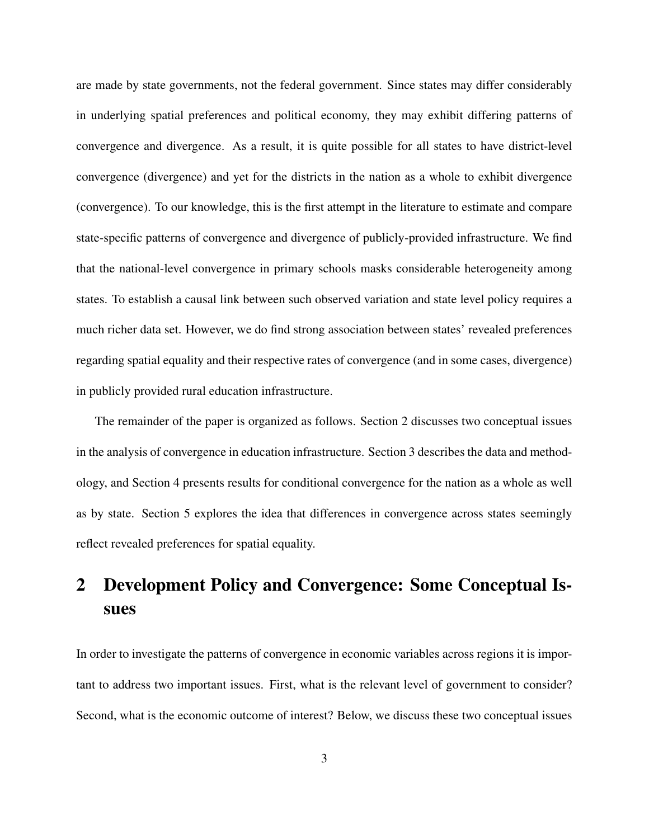are made by state governments, not the federal government. Since states may differ considerably in underlying spatial preferences and political economy, they may exhibit differing patterns of convergence and divergence. As a result, it is quite possible for all states to have district-level convergence (divergence) and yet for the districts in the nation as a whole to exhibit divergence (convergence). To our knowledge, this is the first attempt in the literature to estimate and compare state-specific patterns of convergence and divergence of publicly-provided infrastructure. We find that the national-level convergence in primary schools masks considerable heterogeneity among states. To establish a causal link between such observed variation and state level policy requires a much richer data set. However, we do find strong association between states' revealed preferences regarding spatial equality and their respective rates of convergence (and in some cases, divergence) in publicly provided rural education infrastructure.

The remainder of the paper is organized as follows. Section 2 discusses two conceptual issues in the analysis of convergence in education infrastructure. Section 3 describes the data and methodology, and Section 4 presents results for conditional convergence for the nation as a whole as well as by state. Section 5 explores the idea that differences in convergence across states seemingly reflect revealed preferences for spatial equality.

# 2 Development Policy and Convergence: Some Conceptual Issues

In order to investigate the patterns of convergence in economic variables across regions it is important to address two important issues. First, what is the relevant level of government to consider? Second, what is the economic outcome of interest? Below, we discuss these two conceptual issues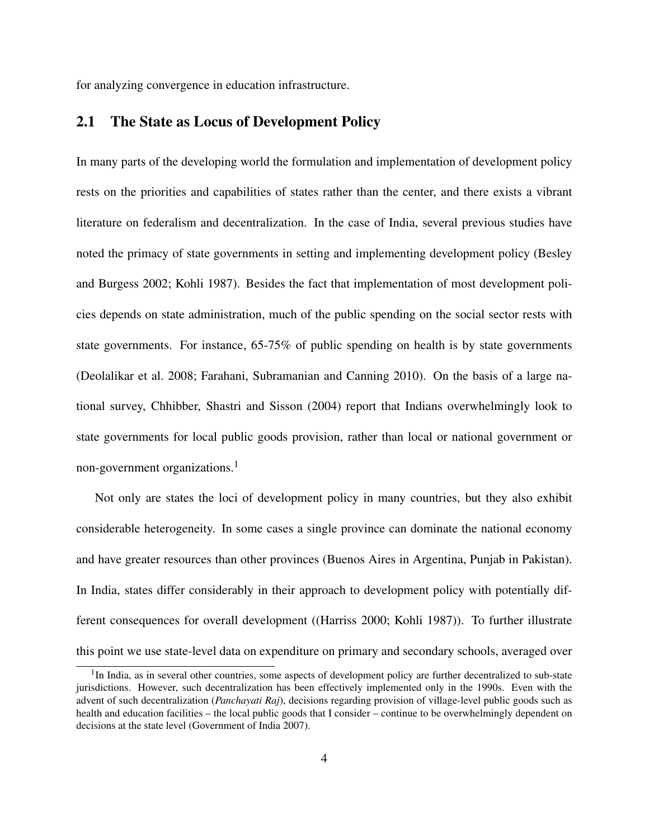for analyzing convergence in education infrastructure.

#### 2.1 The State as Locus of Development Policy

In many parts of the developing world the formulation and implementation of development policy rests on the priorities and capabilities of states rather than the center, and there exists a vibrant literature on federalism and decentralization. In the case of India, several previous studies have noted the primacy of state governments in setting and implementing development policy (Besley and Burgess 2002; Kohli 1987). Besides the fact that implementation of most development policies depends on state administration, much of the public spending on the social sector rests with state governments. For instance, 65-75% of public spending on health is by state governments (Deolalikar et al. 2008; Farahani, Subramanian and Canning 2010). On the basis of a large national survey, Chhibber, Shastri and Sisson (2004) report that Indians overwhelmingly look to state governments for local public goods provision, rather than local or national government or non-government organizations.<sup>1</sup>

Not only are states the loci of development policy in many countries, but they also exhibit considerable heterogeneity. In some cases a single province can dominate the national economy and have greater resources than other provinces (Buenos Aires in Argentina, Punjab in Pakistan). In India, states differ considerably in their approach to development policy with potentially different consequences for overall development ((Harriss 2000; Kohli 1987)). To further illustrate this point we use state-level data on expenditure on primary and secondary schools, averaged over

<sup>&</sup>lt;sup>1</sup>In India, as in several other countries, some aspects of development policy are further decentralized to sub-state jurisdictions. However, such decentralization has been effectively implemented only in the 1990s. Even with the advent of such decentralization (*Panchayati Raj*), decisions regarding provision of village-level public goods such as health and education facilities – the local public goods that I consider – continue to be overwhelmingly dependent on decisions at the state level (Government of India 2007).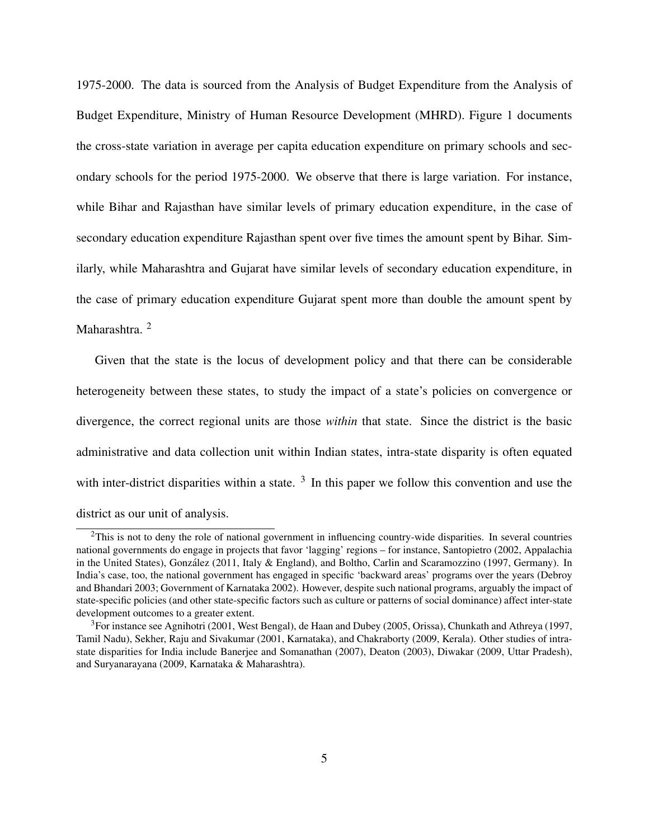1975-2000. The data is sourced from the Analysis of Budget Expenditure from the Analysis of Budget Expenditure, Ministry of Human Resource Development (MHRD). Figure 1 documents the cross-state variation in average per capita education expenditure on primary schools and secondary schools for the period 1975-2000. We observe that there is large variation. For instance, while Bihar and Rajasthan have similar levels of primary education expenditure, in the case of secondary education expenditure Rajasthan spent over five times the amount spent by Bihar. Similarly, while Maharashtra and Gujarat have similar levels of secondary education expenditure, in the case of primary education expenditure Gujarat spent more than double the amount spent by Maharashtra.<sup>2</sup>

Given that the state is the locus of development policy and that there can be considerable heterogeneity between these states, to study the impact of a state's policies on convergence or divergence, the correct regional units are those *within* that state. Since the district is the basic administrative and data collection unit within Indian states, intra-state disparity is often equated with inter-district disparities within a state.  $3 \text{ In this paper we follow this convention and use the}$ district as our unit of analysis.

<sup>&</sup>lt;sup>2</sup>This is not to deny the role of national government in influencing country-wide disparities. In several countries national governments do engage in projects that favor 'lagging' regions – for instance, Santopietro (2002, Appalachia in the United States), González (2011, Italy & England), and Boltho, Carlin and Scaramozzino (1997, Germany). In India's case, too, the national government has engaged in specific 'backward areas' programs over the years (Debroy and Bhandari 2003; Government of Karnataka 2002). However, despite such national programs, arguably the impact of state-specific policies (and other state-specific factors such as culture or patterns of social dominance) affect inter-state development outcomes to a greater extent.

 $3$ For instance see Agnihotri (2001, West Bengal), de Haan and Dubey (2005, Orissa), Chunkath and Athreya (1997, Tamil Nadu), Sekher, Raju and Sivakumar (2001, Karnataka), and Chakraborty (2009, Kerala). Other studies of intrastate disparities for India include Banerjee and Somanathan (2007), Deaton (2003), Diwakar (2009, Uttar Pradesh), and Suryanarayana (2009, Karnataka & Maharashtra).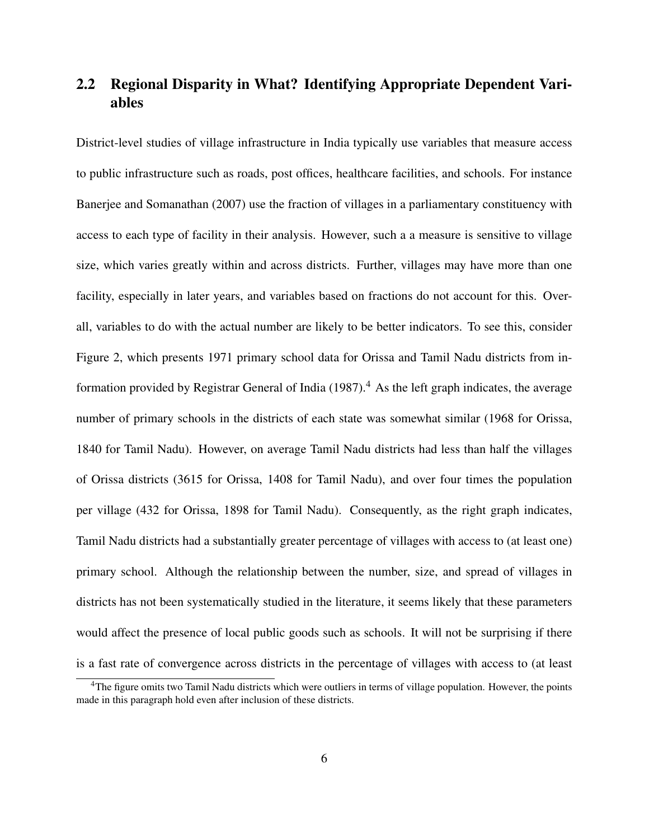### 2.2 Regional Disparity in What? Identifying Appropriate Dependent Variables

District-level studies of village infrastructure in India typically use variables that measure access to public infrastructure such as roads, post offices, healthcare facilities, and schools. For instance Banerjee and Somanathan (2007) use the fraction of villages in a parliamentary constituency with access to each type of facility in their analysis. However, such a a measure is sensitive to village size, which varies greatly within and across districts. Further, villages may have more than one facility, especially in later years, and variables based on fractions do not account for this. Overall, variables to do with the actual number are likely to be better indicators. To see this, consider Figure 2, which presents 1971 primary school data for Orissa and Tamil Nadu districts from information provided by Registrar General of India  $(1987)$ .<sup>4</sup> As the left graph indicates, the average number of primary schools in the districts of each state was somewhat similar (1968 for Orissa, 1840 for Tamil Nadu). However, on average Tamil Nadu districts had less than half the villages of Orissa districts (3615 for Orissa, 1408 for Tamil Nadu), and over four times the population per village (432 for Orissa, 1898 for Tamil Nadu). Consequently, as the right graph indicates, Tamil Nadu districts had a substantially greater percentage of villages with access to (at least one) primary school. Although the relationship between the number, size, and spread of villages in districts has not been systematically studied in the literature, it seems likely that these parameters would affect the presence of local public goods such as schools. It will not be surprising if there is a fast rate of convergence across districts in the percentage of villages with access to (at least

<sup>&</sup>lt;sup>4</sup>The figure omits two Tamil Nadu districts which were outliers in terms of village population. However, the points made in this paragraph hold even after inclusion of these districts.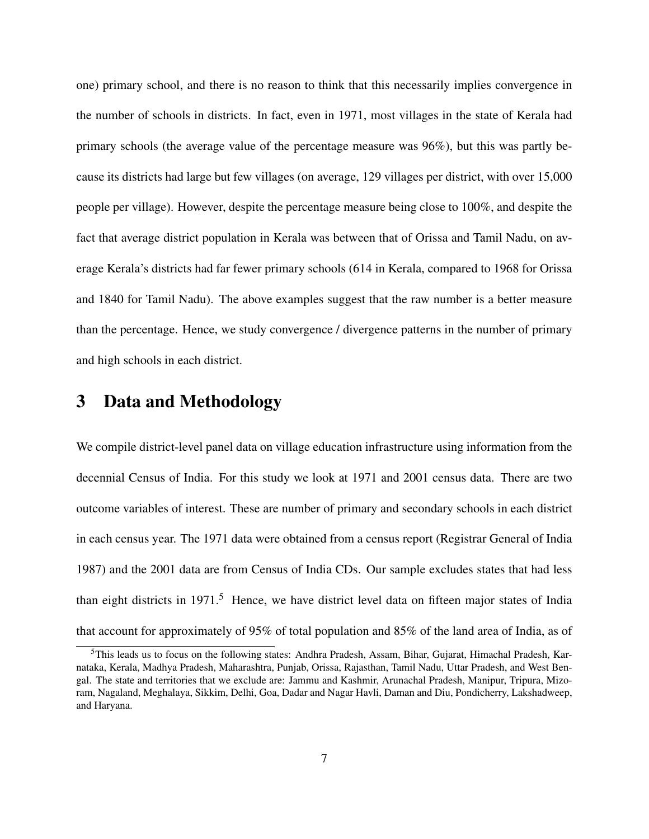one) primary school, and there is no reason to think that this necessarily implies convergence in the number of schools in districts. In fact, even in 1971, most villages in the state of Kerala had primary schools (the average value of the percentage measure was 96%), but this was partly because its districts had large but few villages (on average, 129 villages per district, with over 15,000 people per village). However, despite the percentage measure being close to 100%, and despite the fact that average district population in Kerala was between that of Orissa and Tamil Nadu, on average Kerala's districts had far fewer primary schools (614 in Kerala, compared to 1968 for Orissa and 1840 for Tamil Nadu). The above examples suggest that the raw number is a better measure than the percentage. Hence, we study convergence / divergence patterns in the number of primary and high schools in each district.

#### 3 Data and Methodology

We compile district-level panel data on village education infrastructure using information from the decennial Census of India. For this study we look at 1971 and 2001 census data. There are two outcome variables of interest. These are number of primary and secondary schools in each district in each census year. The 1971 data were obtained from a census report (Registrar General of India 1987) and the 2001 data are from Census of India CDs. Our sample excludes states that had less than eight districts in  $1971<sup>5</sup>$  Hence, we have district level data on fifteen major states of India that account for approximately of 95% of total population and 85% of the land area of India, as of

<sup>5</sup>This leads us to focus on the following states: Andhra Pradesh, Assam, Bihar, Gujarat, Himachal Pradesh, Karnataka, Kerala, Madhya Pradesh, Maharashtra, Punjab, Orissa, Rajasthan, Tamil Nadu, Uttar Pradesh, and West Bengal. The state and territories that we exclude are: Jammu and Kashmir, Arunachal Pradesh, Manipur, Tripura, Mizoram, Nagaland, Meghalaya, Sikkim, Delhi, Goa, Dadar and Nagar Havli, Daman and Diu, Pondicherry, Lakshadweep, and Haryana.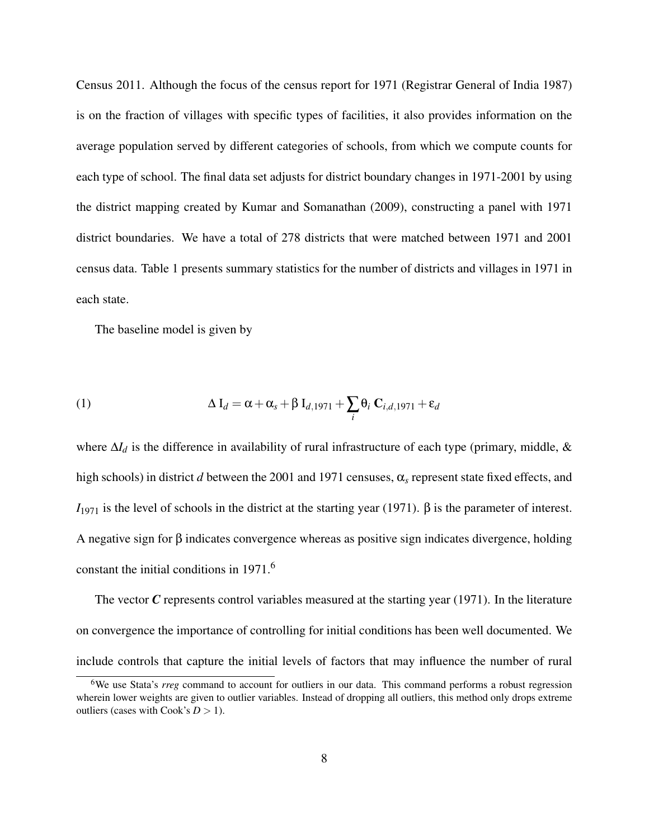Census 2011. Although the focus of the census report for 1971 (Registrar General of India 1987) is on the fraction of villages with specific types of facilities, it also provides information on the average population served by different categories of schools, from which we compute counts for each type of school. The final data set adjusts for district boundary changes in 1971-2001 by using the district mapping created by Kumar and Somanathan (2009), constructing a panel with 1971 district boundaries. We have a total of 278 districts that were matched between 1971 and 2001 census data. Table 1 presents summary statistics for the number of districts and villages in 1971 in each state.

The baseline model is given by

(1) 
$$
\Delta I_d = \alpha + \alpha_s + \beta I_{d,1971} + \sum_i \theta_i C_{i,d,1971} + \varepsilon_d
$$

where ∆*I<sup>d</sup>* is the difference in availability of rural infrastructure of each type (primary, middle, & high schools) in district *d* between the 2001 and 1971 censuses, α*<sup>s</sup>* represent state fixed effects, and  $I_{1971}$  is the level of schools in the district at the starting year (1971). β is the parameter of interest. A negative sign for β indicates convergence whereas as positive sign indicates divergence, holding constant the initial conditions in 1971.<sup>6</sup>

The vector C represents control variables measured at the starting year (1971). In the literature on convergence the importance of controlling for initial conditions has been well documented. We include controls that capture the initial levels of factors that may influence the number of rural

<sup>&</sup>lt;sup>6</sup>We use Stata's *rreg* command to account for outliers in our data. This command performs a robust regression wherein lower weights are given to outlier variables. Instead of dropping all outliers, this method only drops extreme outliers (cases with Cook's  $D > 1$ ).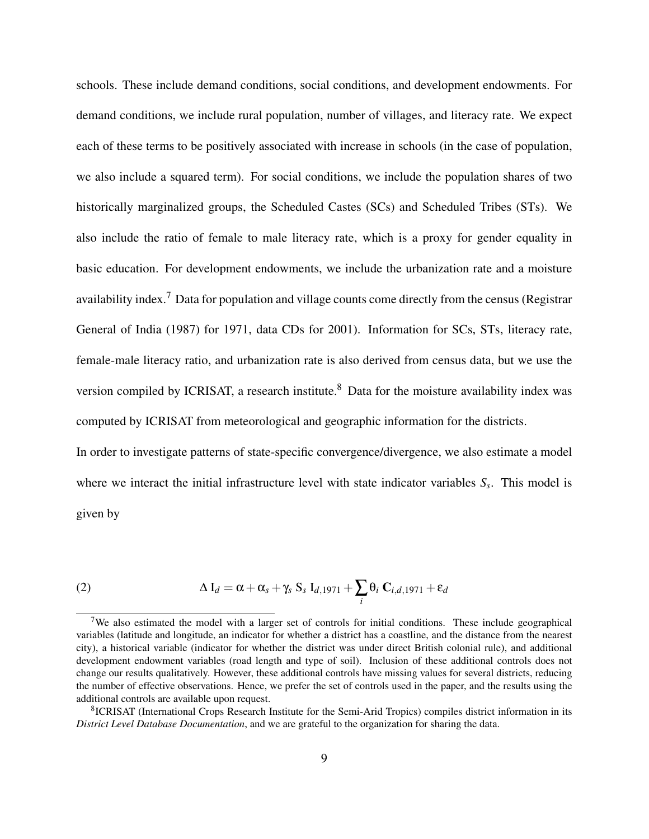schools. These include demand conditions, social conditions, and development endowments. For demand conditions, we include rural population, number of villages, and literacy rate. We expect each of these terms to be positively associated with increase in schools (in the case of population, we also include a squared term). For social conditions, we include the population shares of two historically marginalized groups, the Scheduled Castes (SCs) and Scheduled Tribes (STs). We also include the ratio of female to male literacy rate, which is a proxy for gender equality in basic education. For development endowments, we include the urbanization rate and a moisture availability index.<sup>7</sup> Data for population and village counts come directly from the census (Registrar General of India (1987) for 1971, data CDs for 2001). Information for SCs, STs, literacy rate, female-male literacy ratio, and urbanization rate is also derived from census data, but we use the version compiled by ICRISAT, a research institute.<sup>8</sup> Data for the moisture availability index was computed by ICRISAT from meteorological and geographic information for the districts.

In order to investigate patterns of state-specific convergence/divergence, we also estimate a model where we interact the initial infrastructure level with state indicator variables *S<sup>s</sup>* . This model is given by

(2) 
$$
\Delta I_d = \alpha + \alpha_s + \gamma_s S_s I_{d,1971} + \sum_i \theta_i C_{i,d,1971} + \varepsilon_d
$$

<sup>&</sup>lt;sup>7</sup>We also estimated the model with a larger set of controls for initial conditions. These include geographical variables (latitude and longitude, an indicator for whether a district has a coastline, and the distance from the nearest city), a historical variable (indicator for whether the district was under direct British colonial rule), and additional development endowment variables (road length and type of soil). Inclusion of these additional controls does not change our results qualitatively. However, these additional controls have missing values for several districts, reducing the number of effective observations. Hence, we prefer the set of controls used in the paper, and the results using the additional controls are available upon request.

<sup>&</sup>lt;sup>8</sup>ICRISAT (International Crops Research Institute for the Semi-Arid Tropics) compiles district information in its *District Level Database Documentation*, and we are grateful to the organization for sharing the data.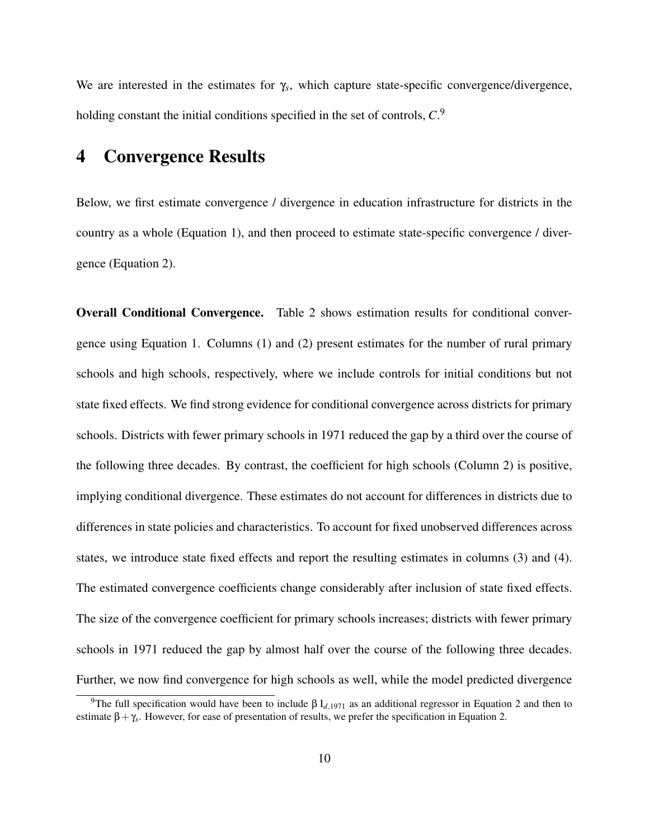We are interested in the estimates for γ*<sup>s</sup>* , which capture state-specific convergence/divergence, holding constant the initial conditions specified in the set of controls,  $C^9$ .

#### 4 Convergence Results

Below, we first estimate convergence / divergence in education infrastructure for districts in the country as a whole (Equation 1), and then proceed to estimate state-specific convergence / divergence (Equation 2).

Overall Conditional Convergence. Table 2 shows estimation results for conditional convergence using Equation 1. Columns (1) and (2) present estimates for the number of rural primary schools and high schools, respectively, where we include controls for initial conditions but not state fixed effects. We find strong evidence for conditional convergence across districts for primary schools. Districts with fewer primary schools in 1971 reduced the gap by a third over the course of the following three decades. By contrast, the coefficient for high schools (Column 2) is positive, implying conditional divergence. These estimates do not account for differences in districts due to differences in state policies and characteristics. To account for fixed unobserved differences across states, we introduce state fixed effects and report the resulting estimates in columns (3) and (4). The estimated convergence coefficients change considerably after inclusion of state fixed effects. The size of the convergence coefficient for primary schools increases; districts with fewer primary schools in 1971 reduced the gap by almost half over the course of the following three decades. Further, we now find convergence for high schools as well, while the model predicted divergence

<sup>&</sup>lt;sup>9</sup>The full specification would have been to include  $β I_{d,1971}$  as an additional regressor in Equation 2 and then to estimate β+γ*<sup>s</sup>* . However, for ease of presentation of results, we prefer the specification in Equation 2.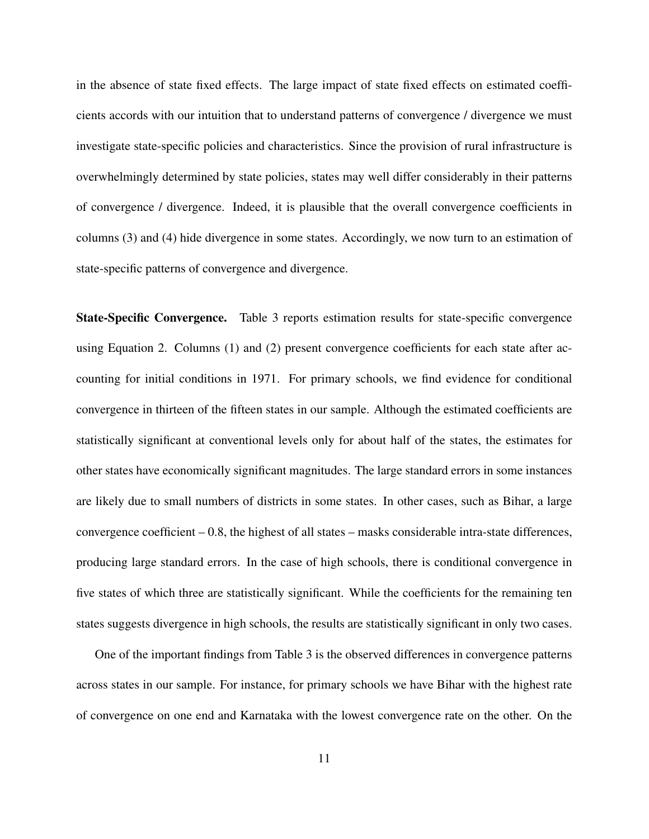in the absence of state fixed effects. The large impact of state fixed effects on estimated coefficients accords with our intuition that to understand patterns of convergence / divergence we must investigate state-specific policies and characteristics. Since the provision of rural infrastructure is overwhelmingly determined by state policies, states may well differ considerably in their patterns of convergence / divergence. Indeed, it is plausible that the overall convergence coefficients in columns (3) and (4) hide divergence in some states. Accordingly, we now turn to an estimation of state-specific patterns of convergence and divergence.

State-Specific Convergence. Table 3 reports estimation results for state-specific convergence using Equation 2. Columns (1) and (2) present convergence coefficients for each state after accounting for initial conditions in 1971. For primary schools, we find evidence for conditional convergence in thirteen of the fifteen states in our sample. Although the estimated coefficients are statistically significant at conventional levels only for about half of the states, the estimates for other states have economically significant magnitudes. The large standard errors in some instances are likely due to small numbers of districts in some states. In other cases, such as Bihar, a large convergence coefficient  $-0.8$ , the highest of all states – masks considerable intra-state differences, producing large standard errors. In the case of high schools, there is conditional convergence in five states of which three are statistically significant. While the coefficients for the remaining ten states suggests divergence in high schools, the results are statistically significant in only two cases.

One of the important findings from Table 3 is the observed differences in convergence patterns across states in our sample. For instance, for primary schools we have Bihar with the highest rate of convergence on one end and Karnataka with the lowest convergence rate on the other. On the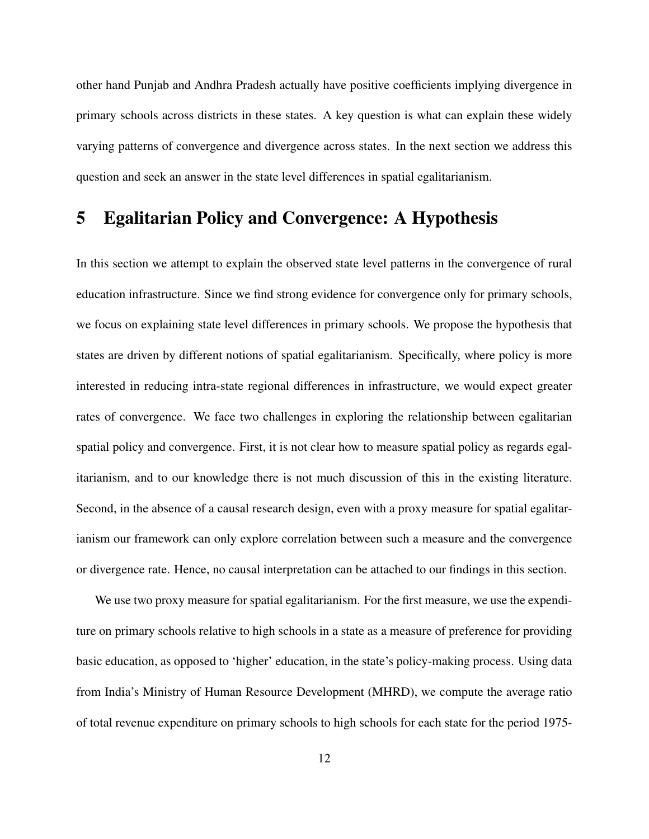other hand Punjab and Andhra Pradesh actually have positive coefficients implying divergence in primary schools across districts in these states. A key question is what can explain these widely varying patterns of convergence and divergence across states. In the next section we address this question and seek an answer in the state level differences in spatial egalitarianism.

# 5 Egalitarian Policy and Convergence: A Hypothesis

In this section we attempt to explain the observed state level patterns in the convergence of rural education infrastructure. Since we find strong evidence for convergence only for primary schools, we focus on explaining state level differences in primary schools. We propose the hypothesis that states are driven by different notions of spatial egalitarianism. Specifically, where policy is more interested in reducing intra-state regional differences in infrastructure, we would expect greater rates of convergence. We face two challenges in exploring the relationship between egalitarian spatial policy and convergence. First, it is not clear how to measure spatial policy as regards egalitarianism, and to our knowledge there is not much discussion of this in the existing literature. Second, in the absence of a causal research design, even with a proxy measure for spatial egalitarianism our framework can only explore correlation between such a measure and the convergence or divergence rate. Hence, no causal interpretation can be attached to our findings in this section.

We use two proxy measure for spatial egalitarianism. For the first measure, we use the expenditure on primary schools relative to high schools in a state as a measure of preference for providing basic education, as opposed to 'higher' education, in the state's policy-making process. Using data from India's Ministry of Human Resource Development (MHRD), we compute the average ratio of total revenue expenditure on primary schools to high schools for each state for the period 1975-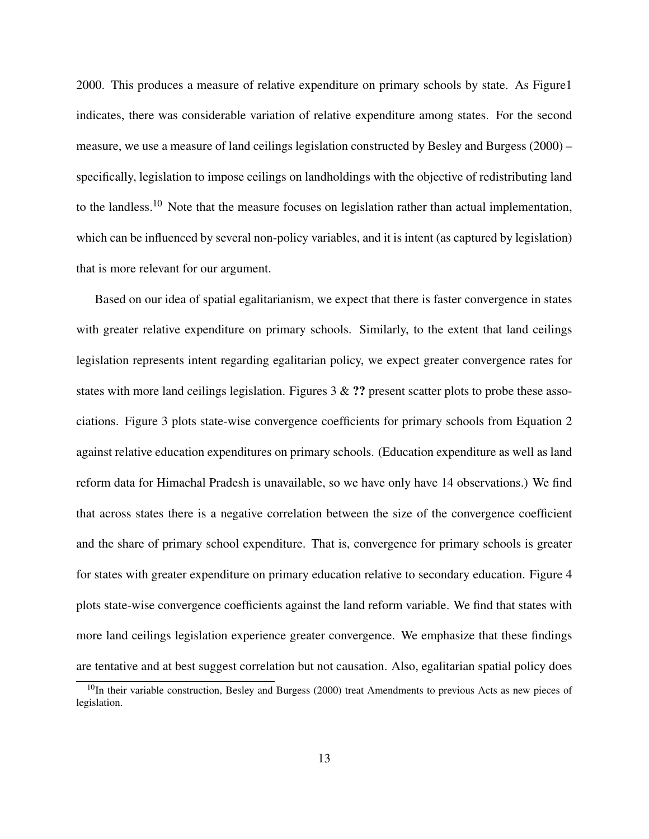2000. This produces a measure of relative expenditure on primary schools by state. As Figure1 indicates, there was considerable variation of relative expenditure among states. For the second measure, we use a measure of land ceilings legislation constructed by Besley and Burgess (2000) – specifically, legislation to impose ceilings on landholdings with the objective of redistributing land to the landless.<sup>10</sup> Note that the measure focuses on legislation rather than actual implementation, which can be influenced by several non-policy variables, and it is intent (as captured by legislation) that is more relevant for our argument.

Based on our idea of spatial egalitarianism, we expect that there is faster convergence in states with greater relative expenditure on primary schools. Similarly, to the extent that land ceilings legislation represents intent regarding egalitarian policy, we expect greater convergence rates for states with more land ceilings legislation. Figures  $3 \& ?\%$ ? present scatter plots to probe these associations. Figure 3 plots state-wise convergence coefficients for primary schools from Equation 2 against relative education expenditures on primary schools. (Education expenditure as well as land reform data for Himachal Pradesh is unavailable, so we have only have 14 observations.) We find that across states there is a negative correlation between the size of the convergence coefficient and the share of primary school expenditure. That is, convergence for primary schools is greater for states with greater expenditure on primary education relative to secondary education. Figure 4 plots state-wise convergence coefficients against the land reform variable. We find that states with more land ceilings legislation experience greater convergence. We emphasize that these findings are tentative and at best suggest correlation but not causation. Also, egalitarian spatial policy does

<sup>&</sup>lt;sup>10</sup>In their variable construction, Besley and Burgess (2000) treat Amendments to previous Acts as new pieces of legislation.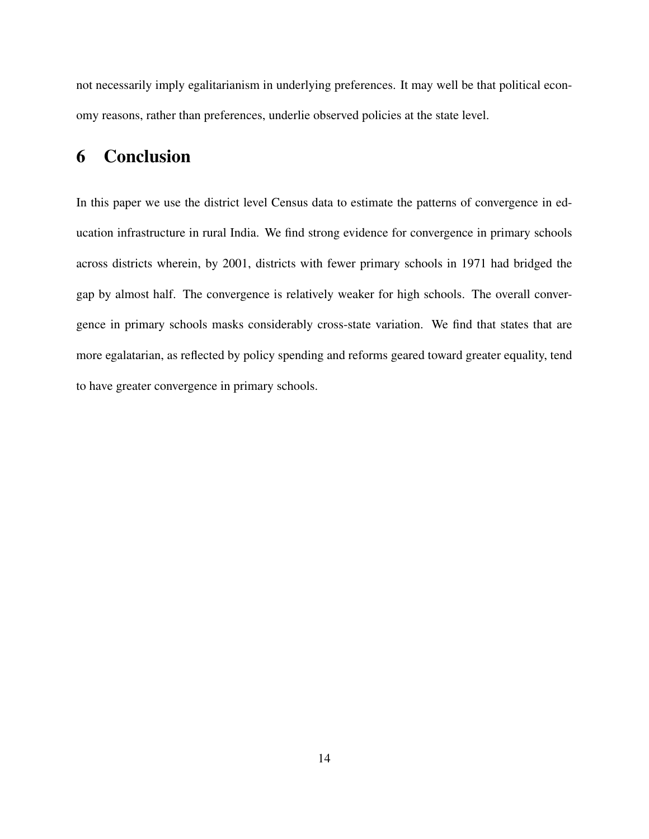not necessarily imply egalitarianism in underlying preferences. It may well be that political economy reasons, rather than preferences, underlie observed policies at the state level.

## 6 Conclusion

In this paper we use the district level Census data to estimate the patterns of convergence in education infrastructure in rural India. We find strong evidence for convergence in primary schools across districts wherein, by 2001, districts with fewer primary schools in 1971 had bridged the gap by almost half. The convergence is relatively weaker for high schools. The overall convergence in primary schools masks considerably cross-state variation. We find that states that are more egalatarian, as reflected by policy spending and reforms geared toward greater equality, tend to have greater convergence in primary schools.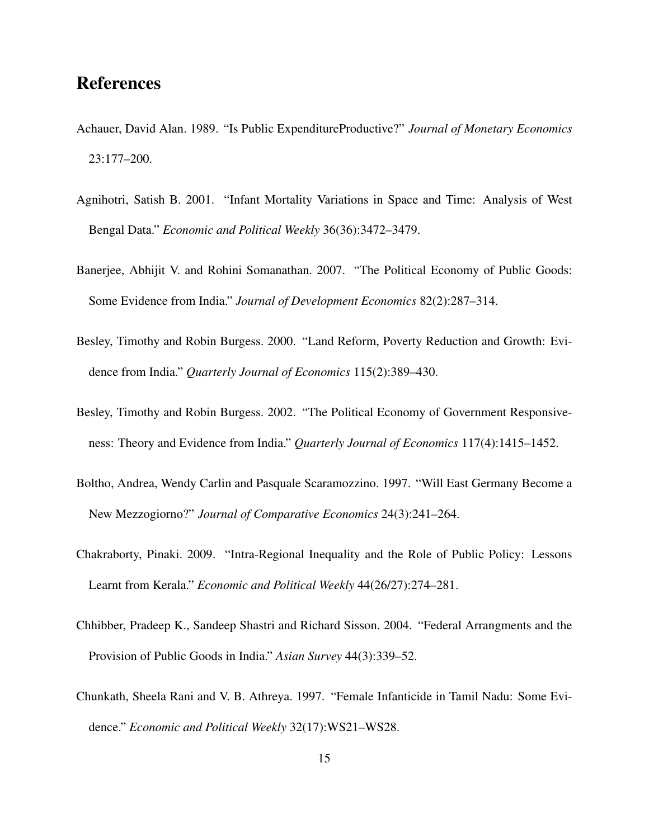#### References

- Achauer, David Alan. 1989. "Is Public ExpenditureProductive?" *Journal of Monetary Economics* 23:177–200.
- Agnihotri, Satish B. 2001. "Infant Mortality Variations in Space and Time: Analysis of West Bengal Data." *Economic and Political Weekly* 36(36):3472–3479.
- Banerjee, Abhijit V. and Rohini Somanathan. 2007. "The Political Economy of Public Goods: Some Evidence from India." *Journal of Development Economics* 82(2):287–314.
- Besley, Timothy and Robin Burgess. 2000. "Land Reform, Poverty Reduction and Growth: Evidence from India." *Quarterly Journal of Economics* 115(2):389–430.
- Besley, Timothy and Robin Burgess. 2002. "The Political Economy of Government Responsiveness: Theory and Evidence from India." *Quarterly Journal of Economics* 117(4):1415–1452.
- Boltho, Andrea, Wendy Carlin and Pasquale Scaramozzino. 1997. "Will East Germany Become a New Mezzogiorno?" *Journal of Comparative Economics* 24(3):241–264.
- Chakraborty, Pinaki. 2009. "Intra-Regional Inequality and the Role of Public Policy: Lessons Learnt from Kerala." *Economic and Political Weekly* 44(26/27):274–281.
- Chhibber, Pradeep K., Sandeep Shastri and Richard Sisson. 2004. "Federal Arrangments and the Provision of Public Goods in India." *Asian Survey* 44(3):339–52.
- Chunkath, Sheela Rani and V. B. Athreya. 1997. "Female Infanticide in Tamil Nadu: Some Evidence." *Economic and Political Weekly* 32(17):WS21–WS28.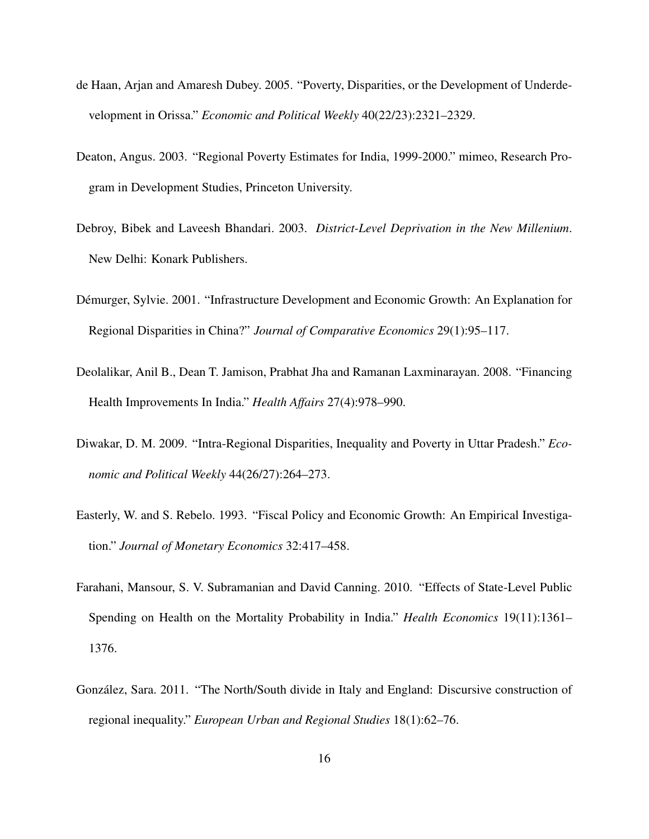- de Haan, Arjan and Amaresh Dubey. 2005. "Poverty, Disparities, or the Development of Underdevelopment in Orissa." *Economic and Political Weekly* 40(22/23):2321–2329.
- Deaton, Angus. 2003. "Regional Poverty Estimates for India, 1999-2000." mimeo, Research Program in Development Studies, Princeton University.
- Debroy, Bibek and Laveesh Bhandari. 2003. *District-Level Deprivation in the New Millenium*. New Delhi: Konark Publishers.
- Démurger, Sylvie. 2001. "Infrastructure Development and Economic Growth: An Explanation for Regional Disparities in China?" *Journal of Comparative Economics* 29(1):95–117.
- Deolalikar, Anil B., Dean T. Jamison, Prabhat Jha and Ramanan Laxminarayan. 2008. "Financing Health Improvements In India." *Health Affairs* 27(4):978–990.
- Diwakar, D. M. 2009. "Intra-Regional Disparities, Inequality and Poverty in Uttar Pradesh." *Economic and Political Weekly* 44(26/27):264–273.
- Easterly, W. and S. Rebelo. 1993. "Fiscal Policy and Economic Growth: An Empirical Investigation." *Journal of Monetary Economics* 32:417–458.
- Farahani, Mansour, S. V. Subramanian and David Canning. 2010. "Effects of State-Level Public Spending on Health on the Mortality Probability in India." *Health Economics* 19(11):1361– 1376.
- González, Sara. 2011. "The North/South divide in Italy and England: Discursive construction of regional inequality." *European Urban and Regional Studies* 18(1):62–76.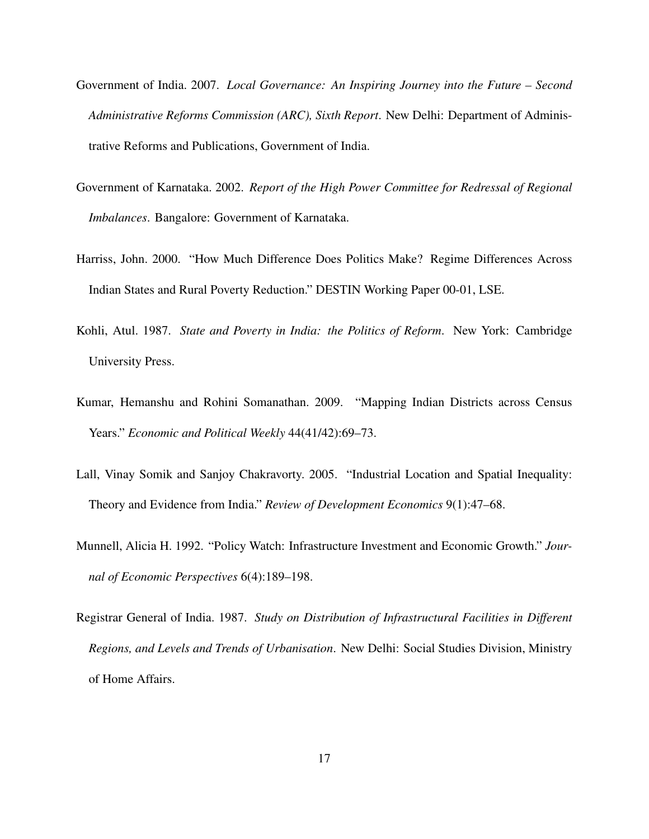- Government of India. 2007. *Local Governance: An Inspiring Journey into the Future Second Administrative Reforms Commission (ARC), Sixth Report*. New Delhi: Department of Administrative Reforms and Publications, Government of India.
- Government of Karnataka. 2002. *Report of the High Power Committee for Redressal of Regional Imbalances*. Bangalore: Government of Karnataka.
- Harriss, John. 2000. "How Much Difference Does Politics Make? Regime Differences Across Indian States and Rural Poverty Reduction." DESTIN Working Paper 00-01, LSE.
- Kohli, Atul. 1987. *State and Poverty in India: the Politics of Reform*. New York: Cambridge University Press.
- Kumar, Hemanshu and Rohini Somanathan. 2009. "Mapping Indian Districts across Census Years." *Economic and Political Weekly* 44(41/42):69–73.
- Lall, Vinay Somik and Sanjoy Chakravorty. 2005. "Industrial Location and Spatial Inequality: Theory and Evidence from India." *Review of Development Economics* 9(1):47–68.
- Munnell, Alicia H. 1992. "Policy Watch: Infrastructure Investment and Economic Growth." *Journal of Economic Perspectives* 6(4):189–198.
- Registrar General of India. 1987. *Study on Distribution of Infrastructural Facilities in Different Regions, and Levels and Trends of Urbanisation*. New Delhi: Social Studies Division, Ministry of Home Affairs.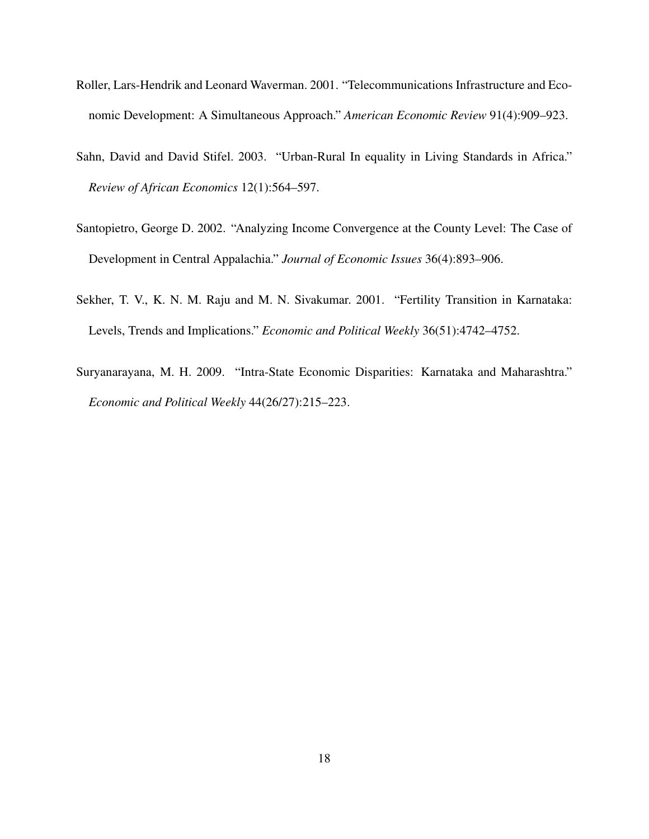- Roller, Lars-Hendrik and Leonard Waverman. 2001. "Telecommunications Infrastructure and Economic Development: A Simultaneous Approach." *American Economic Review* 91(4):909–923.
- Sahn, David and David Stifel. 2003. "Urban-Rural In equality in Living Standards in Africa." *Review of African Economics* 12(1):564–597.
- Santopietro, George D. 2002. "Analyzing Income Convergence at the County Level: The Case of Development in Central Appalachia." *Journal of Economic Issues* 36(4):893–906.
- Sekher, T. V., K. N. M. Raju and M. N. Sivakumar. 2001. "Fertility Transition in Karnataka: Levels, Trends and Implications." *Economic and Political Weekly* 36(51):4742–4752.
- Suryanarayana, M. H. 2009. "Intra-State Economic Disparities: Karnataka and Maharashtra." *Economic and Political Weekly* 44(26/27):215–223.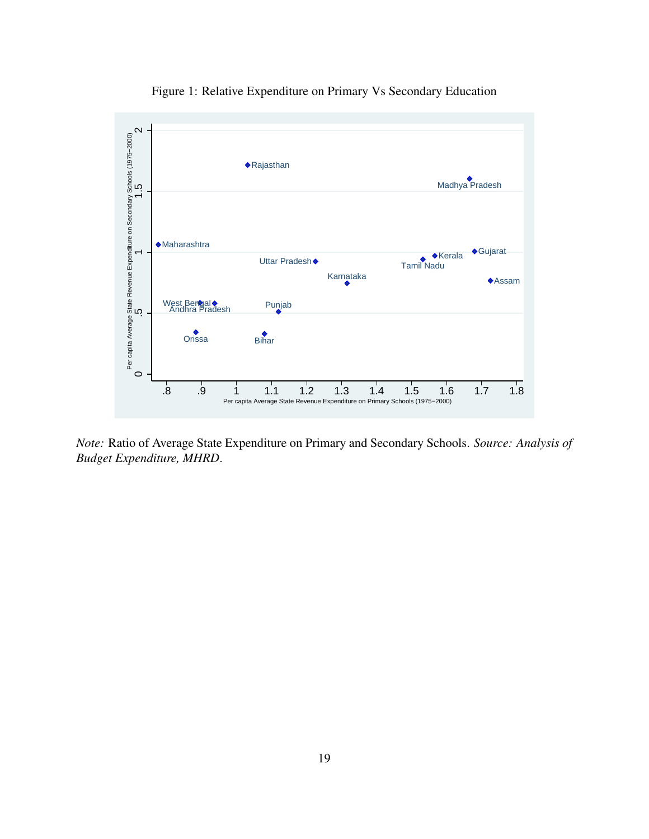

Figure 1: Relative Expenditure on Primary Vs Secondary Education

*Note:* Ratio of Average State Expenditure on Primary and Secondary Schools. *Source: Analysis of Budget Expenditure, MHRD*.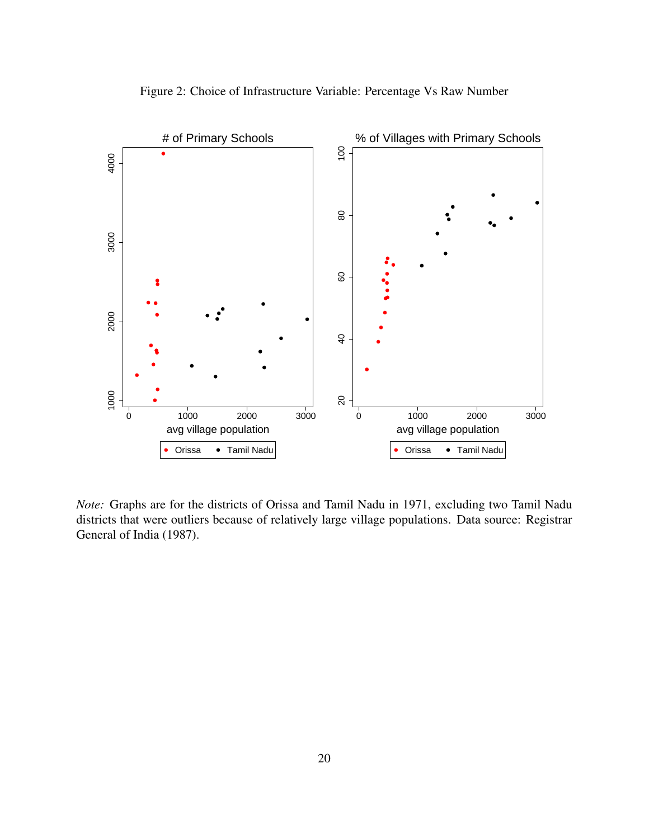

Figure 2: Choice of Infrastructure Variable: Percentage Vs Raw Number

*Note:* Graphs are for the districts of Orissa and Tamil Nadu in 1971, excluding two Tamil Nadu districts that were outliers because of relatively large village populations. Data source: Registrar General of India (1987).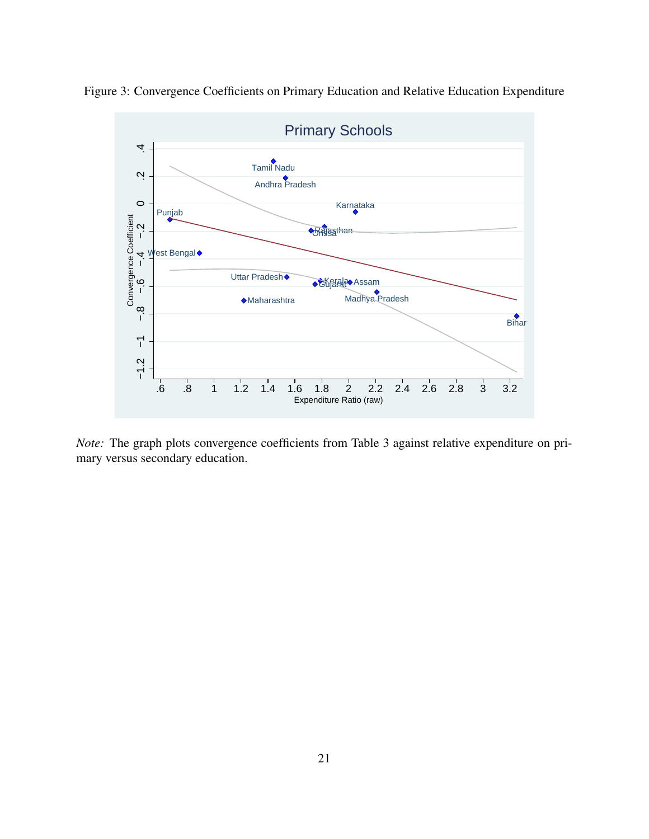

Figure 3: Convergence Coefficients on Primary Education and Relative Education Expenditure

*Note:* The graph plots convergence coefficients from Table 3 against relative expenditure on primary versus secondary education.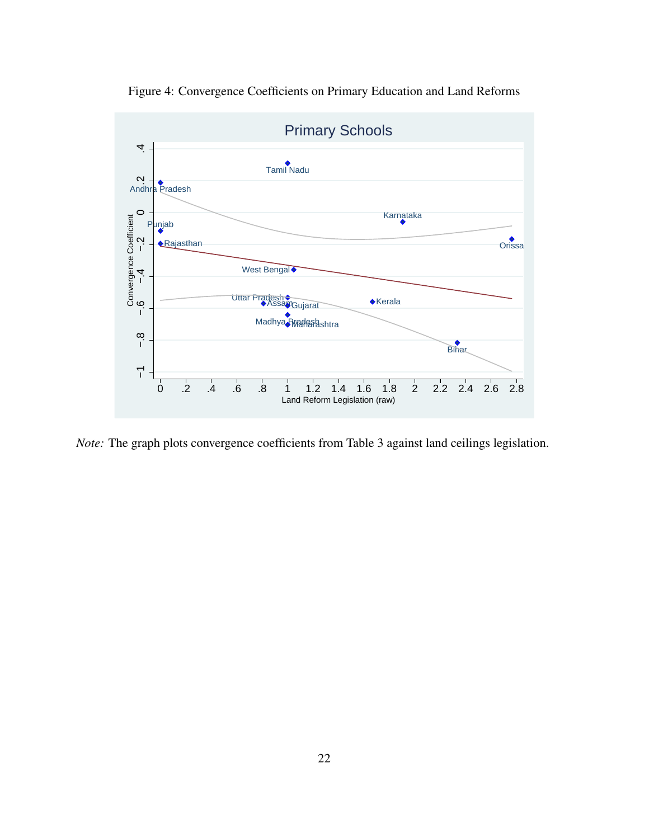

Figure 4: Convergence Coefficients on Primary Education and Land Reforms

*Note:* The graph plots convergence coefficients from Table 3 against land ceilings legislation.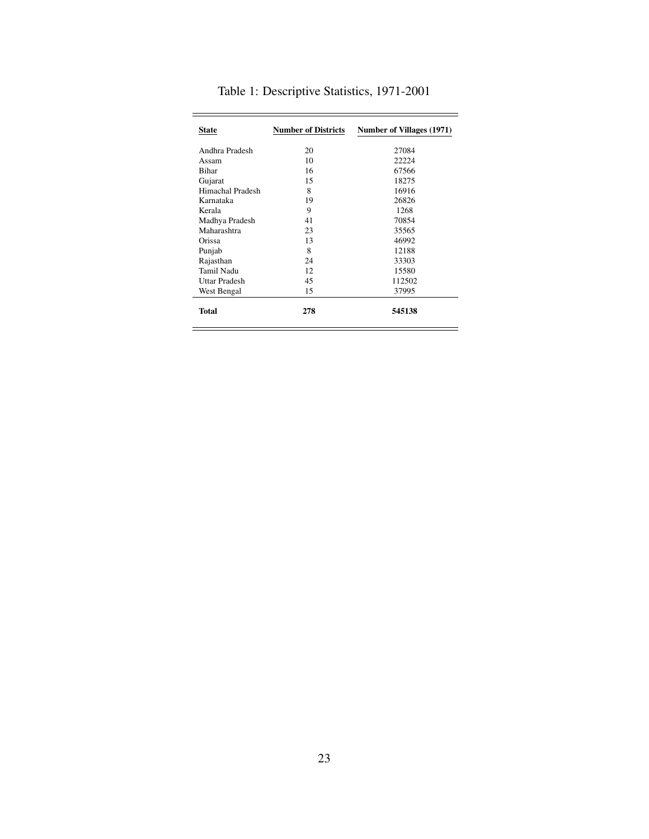| <b>State</b>     | <b>Number of Districts</b> | Number of Villages (1971) |
|------------------|----------------------------|---------------------------|
| Andhra Pradesh   | 20                         | 27084                     |
| Assam            | 10                         | 22224                     |
| <b>Bihar</b>     | 16                         | 67566                     |
| Gujarat          | 15                         | 18275                     |
| Himachal Pradesh | 8                          | 16916                     |
| Karnataka        | 19                         | 26826                     |
| Kerala           | 9                          | 1268                      |
| Madhya Pradesh   | 41                         | 70854                     |
| Maharashtra      | 23                         | 35565                     |
| Orissa           | 13                         | 46992                     |
| Punjab           | 8                          | 12188                     |
| Rajasthan        | 24                         | 33303                     |
| Tamil Nadu       | 12                         | 15580                     |
| Uttar Pradesh    | 45                         | 112502                    |
| West Bengal      | 15                         | 37995                     |
| <b>Total</b>     | 278                        | 545138                    |

Ė

Table 1: Descriptive Statistics, 1971-2001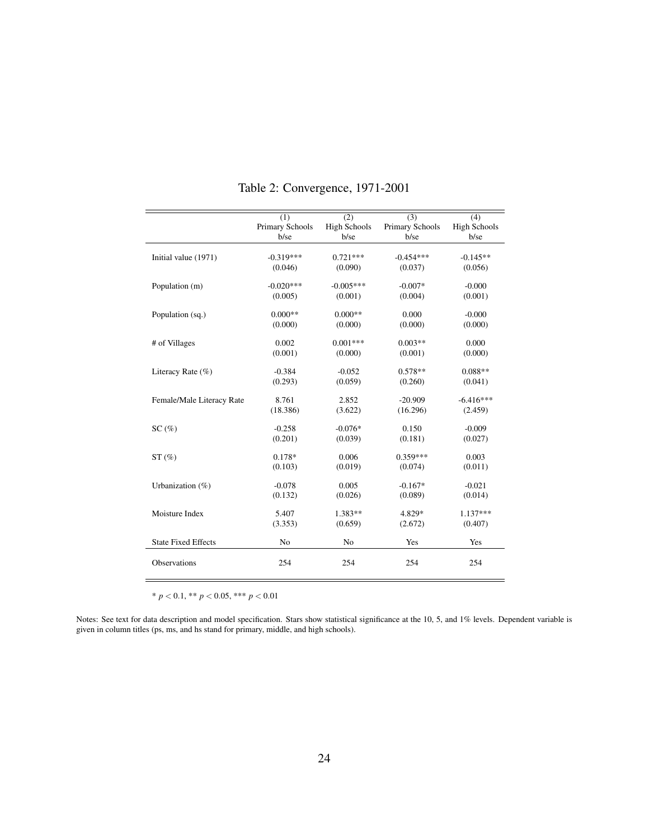|                            | (1)                     | (2)                         | $\overline{(3)}$        | (4)                         |
|----------------------------|-------------------------|-----------------------------|-------------------------|-----------------------------|
|                            | Primary Schools<br>b/se | <b>High Schools</b><br>b/se | Primary Schools<br>b/se | <b>High Schools</b><br>b/se |
|                            |                         |                             |                         |                             |
| Initial value (1971)       | $-0.319***$             | $0.721***$                  | $-0.454***$             | $-0.145**$                  |
|                            | (0.046)                 | (0.090)                     | (0.037)                 | (0.056)                     |
| Population (m)             | $-0.020***$             | $-0.005***$                 | $-0.007*$               | $-0.000$                    |
|                            | (0.005)                 | (0.001)                     | (0.004)                 | (0.001)                     |
| Population (sq.)           | $0.000**$               | $0.000**$                   | 0.000                   | $-0.000$                    |
|                            | (0.000)                 | (0.000)                     | (0.000)                 | (0.000)                     |
| # of Villages              | 0.002                   | $0.001***$                  | $0.003**$               | 0.000                       |
|                            | (0.001)                 | (0.000)                     | (0.001)                 | (0.000)                     |
| Literacy Rate $(\% )$      | $-0.384$                | $-0.052$                    | $0.578**$               | $0.088**$                   |
|                            | (0.293)                 | (0.059)                     | (0.260)                 | (0.041)                     |
| Female/Male Literacy Rate  | 8.761                   | 2.852                       | $-20.909$               | $-6.416***$                 |
|                            | (18.386)                | (3.622)                     | (16.296)                | (2.459)                     |
| SC(%)                      | $-0.258$                | $-0.076*$                   | 0.150                   | $-0.009$                    |
|                            | (0.201)                 | (0.039)                     | (0.181)                 | (0.027)                     |
| ST(%)                      | $0.178*$                | 0.006                       | $0.359***$              | 0.003                       |
|                            | (0.103)                 | (0.019)                     | (0.074)                 | (0.011)                     |
| Urbanization $(\%)$        | $-0.078$                | 0.005                       | $-0.167*$               | $-0.021$                    |
|                            | (0.132)                 | (0.026)                     | (0.089)                 | (0.014)                     |
| Moisture Index             | 5.407                   | $1.383**$                   | 4.829*                  | $1.137***$                  |
|                            | (3.353)                 | (0.659)                     | (2.672)                 | (0.407)                     |
| <b>State Fixed Effects</b> | No                      | No                          | Yes                     | Yes                         |
| Observations               | 254                     | 254                         | 254                     | 254                         |

Table 2: Convergence, 1971-2001

\* *p* < 0.1, \*\* *p* < 0.05, \*\*\* *p* < 0.01

Notes: See text for data description and model specification. Stars show statistical significance at the 10, 5, and 1% levels. Dependent variable is given in column titles (ps, ms, and hs stand for primary, middle, and high schools).